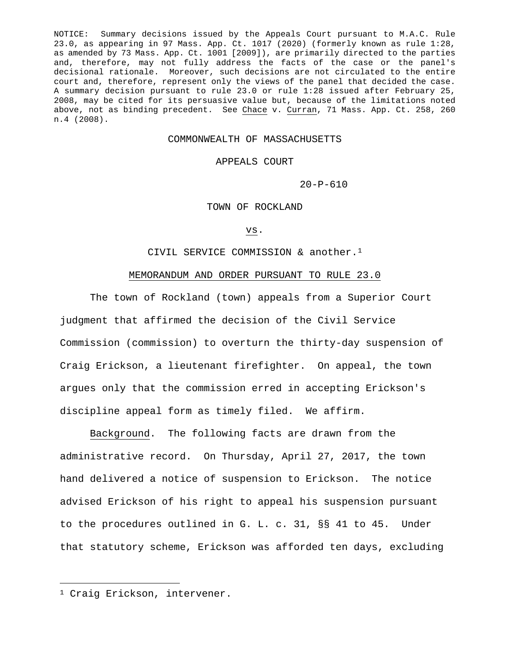NOTICE: Summary decisions issued by the Appeals Court pursuant to M.A.C. Rule 23.0, as appearing in 97 Mass. App. Ct. 1017 (2020) (formerly known as rule 1:28, as amended by 73 Mass. App. Ct. 1001 [2009]), are primarily directed to the parties and, therefore, may not fully address the facts of the case or the panel's decisional rationale. Moreover, such decisions are not circulated to the entire court and, therefore, represent only the views of the panel that decided the case. A summary decision pursuant to rule 23.0 or rule 1:28 issued after February 25, 2008, may be cited for its persuasive value but, because of the limitations noted above, not as binding precedent. See Chace v. Curran, 71 Mass. App. Ct. 258, 260 n.4 (2008).

## COMMONWEALTH OF MASSACHUSETTS

### APPEALS COURT

 $20-P-610$ 

# TOWN OF ROCKLAND

#### vs.

# CIVIL SERVICE COMMISSION & another.[1](#page-0-0)

# MEMORANDUM AND ORDER PURSUANT TO RULE 23.0

The town of Rockland (town) appeals from a Superior Court judgment that affirmed the decision of the Civil Service Commission (commission) to overturn the thirty-day suspension of Craig Erickson, a lieutenant firefighter. On appeal, the town argues only that the commission erred in accepting Erickson's discipline appeal form as timely filed. We affirm.

Background. The following facts are drawn from the administrative record. On Thursday, April 27, 2017, the town hand delivered a notice of suspension to Erickson. The notice advised Erickson of his right to appeal his suspension pursuant to the procedures outlined in G. L. c. 31, §§ 41 to 45. Under that statutory scheme, Erickson was afforded ten days, excluding

<span id="page-0-0"></span><sup>1</sup> Craig Erickson, intervener.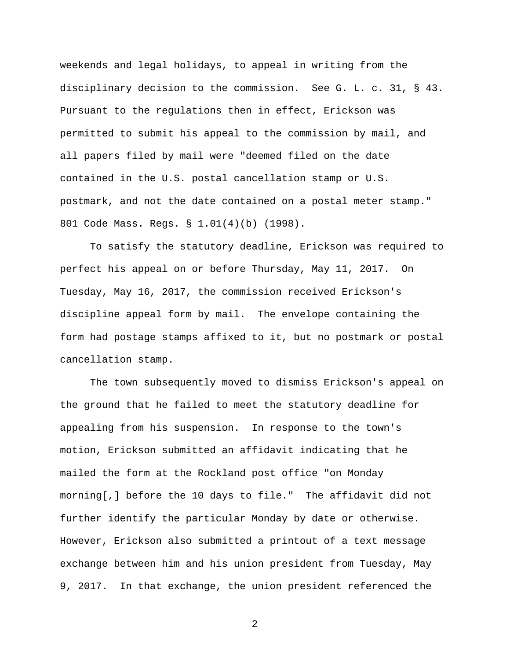weekends and legal holidays, to appeal in writing from the disciplinary decision to the commission. See G. L. c. 31, § 43. Pursuant to the regulations then in effect, Erickson was permitted to submit his appeal to the commission by mail, and all papers filed by mail were "deemed filed on the date contained in the U.S. postal cancellation stamp or U.S. postmark, and not the date contained on a postal meter stamp." 801 Code Mass. Regs. § 1.01(4)(b) (1998).

To satisfy the statutory deadline, Erickson was required to perfect his appeal on or before Thursday, May 11, 2017. On Tuesday, May 16, 2017, the commission received Erickson's discipline appeal form by mail. The envelope containing the form had postage stamps affixed to it, but no postmark or postal cancellation stamp.

The town subsequently moved to dismiss Erickson's appeal on the ground that he failed to meet the statutory deadline for appealing from his suspension. In response to the town's motion, Erickson submitted an affidavit indicating that he mailed the form at the Rockland post office "on Monday morning[,] before the 10 days to file." The affidavit did not further identify the particular Monday by date or otherwise. However, Erickson also submitted a printout of a text message exchange between him and his union president from Tuesday, May 9, 2017. In that exchange, the union president referenced the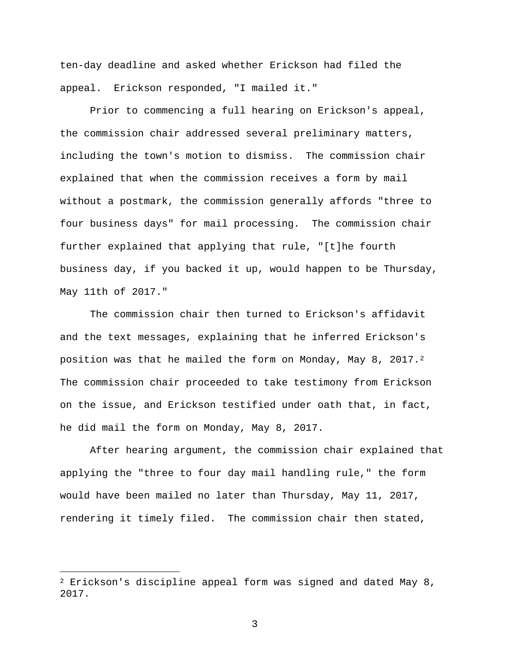ten-day deadline and asked whether Erickson had filed the appeal. Erickson responded, "I mailed it."

Prior to commencing a full hearing on Erickson's appeal, the commission chair addressed several preliminary matters, including the town's motion to dismiss. The commission chair explained that when the commission receives a form by mail without a postmark, the commission generally affords "three to four business days" for mail processing. The commission chair further explained that applying that rule, "[t]he fourth business day, if you backed it up, would happen to be Thursday, May 11th of 2017."

The commission chair then turned to Erickson's affidavit and the text messages, explaining that he inferred Erickson's position was that he mailed the form on Monday, May 8, 2017.<sup>2</sup> The commission chair proceeded to take testimony from Erickson on the issue, and Erickson testified under oath that, in fact, he did mail the form on Monday, May 8, 2017.

After hearing argument, the commission chair explained that applying the "three to four day mail handling rule," the form would have been mailed no later than Thursday, May 11, 2017, rendering it timely filed. The commission chair then stated,

<span id="page-2-0"></span> $2$  Erickson's discipline appeal form was signed and dated May 8, 2017.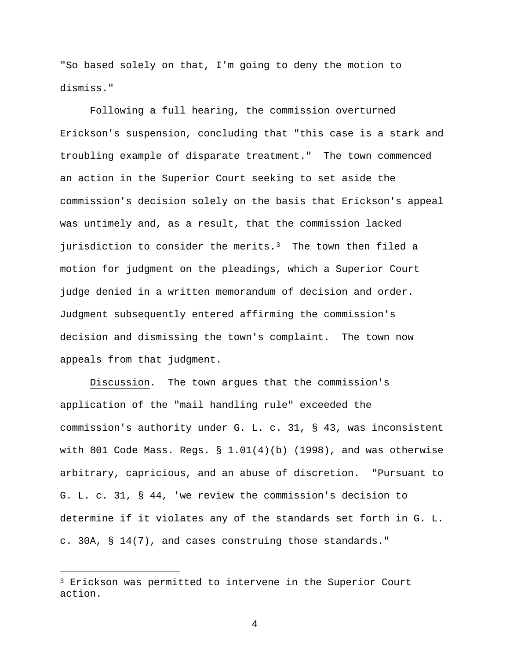"So based solely on that, I'm going to deny the motion to dismiss."

Following a full hearing, the commission overturned Erickson's suspension, concluding that "this case is a stark and troubling example of disparate treatment." The town commenced an action in the Superior Court seeking to set aside the commission's decision solely on the basis that Erickson's appeal was untimely and, as a result, that the commission lacked jurisdiction to consider the merits.<sup>3</sup> The town then filed a motion for judgment on the pleadings, which a Superior Court judge denied in a written memorandum of decision and order. Judgment subsequently entered affirming the commission's decision and dismissing the town's complaint. The town now appeals from that judgment.

Discussion. The town argues that the commission's application of the "mail handling rule" exceeded the commission's authority under G. L. c. 31, § 43, was inconsistent with 801 Code Mass. Regs.  $\S 1.01(4)(b)$  (1998), and was otherwise arbitrary, capricious, and an abuse of discretion. "Pursuant to G. L. c. 31, § 44, 'we review the commission's decision to determine if it violates any of the standards set forth in G. L. c. 30A, § 14(7), and cases construing those standards."

<span id="page-3-0"></span><sup>3</sup> Erickson was permitted to intervene in the Superior Court action.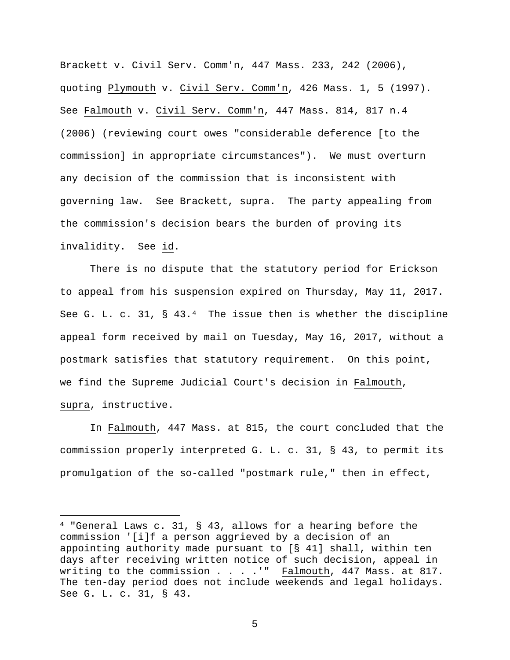Brackett v. Civil Serv. Comm'n, 447 Mass. 233, 242 (2006), quoting Plymouth v. Civil Serv. Comm'n, 426 Mass. 1, 5 (1997). See Falmouth v. Civil Serv. Comm'n, 447 Mass. 814, 817 n.4 (2006) (reviewing court owes "considerable deference [to the commission] in appropriate circumstances"). We must overturn any decision of the commission that is inconsistent with governing law. See Brackett, supra. The party appealing from the commission's decision bears the burden of proving its invalidity. See id.

There is no dispute that the statutory period for Erickson to appeal from his suspension expired on Thursday, May 11, 2017. See G. L. c. 31,  $\S$  43.<sup>4</sup> The issue then is whether the discipline appeal form received by mail on Tuesday, May 16, 2017, without a postmark satisfies that statutory requirement. On this point, we find the Supreme Judicial Court's decision in Falmouth, supra, instructive.

In Falmouth, 447 Mass. at 815, the court concluded that the commission properly interpreted G. L. c. 31, § 43, to permit its promulgation of the so-called "postmark rule," then in effect,

<span id="page-4-0"></span><sup>&</sup>lt;sup>4</sup> "General Laws c. 31, § 43, allows for a hearing before the commission '[i]f a person aggrieved by a decision of an appointing authority made pursuant to [§ 41] shall, within ten days after receiving written notice of such decision, appeal in writing to the commission . . . . " Falmouth, 447 Mass. at 817. The ten-day period does not include weekends and legal holidays. See G. L. c. 31, § 43.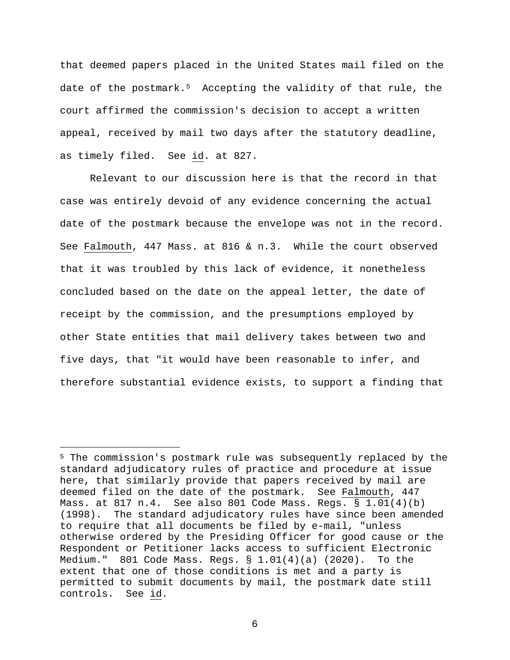that deemed papers placed in the United States mail filed on the date of the postmark.<sup>5</sup> Accepting the validity of that rule, the court affirmed the commission's decision to accept a written appeal, received by mail two days after the statutory deadline, as timely filed. See id. at 827.

Relevant to our discussion here is that the record in that case was entirely devoid of any evidence concerning the actual date of the postmark because the envelope was not in the record. See Falmouth, 447 Mass. at 816 & n.3. While the court observed that it was troubled by this lack of evidence, it nonetheless concluded based on the date on the appeal letter, the date of receipt by the commission, and the presumptions employed by other State entities that mail delivery takes between two and five days, that "it would have been reasonable to infer, and therefore substantial evidence exists, to support a finding that

<span id="page-5-0"></span><sup>5</sup> The commission's postmark rule was subsequently replaced by the standard adjudicatory rules of practice and procedure at issue here, that similarly provide that papers received by mail are deemed filed on the date of the postmark. See Falmouth, 447 Mass. at 817 n.4. See also 801 Code Mass. Regs. § 1.01(4)(b) (1998). The standard adjudicatory rules have since been amended to require that all documents be filed by e-mail, "unless otherwise ordered by the Presiding Officer for good cause or the Respondent or Petitioner lacks access to sufficient Electronic Medium." 801 Code Mass. Reqs.  $\S$  1.01(4)(a) (2020). To the extent that one of those conditions is met and a party is permitted to submit documents by mail, the postmark date still controls. See id.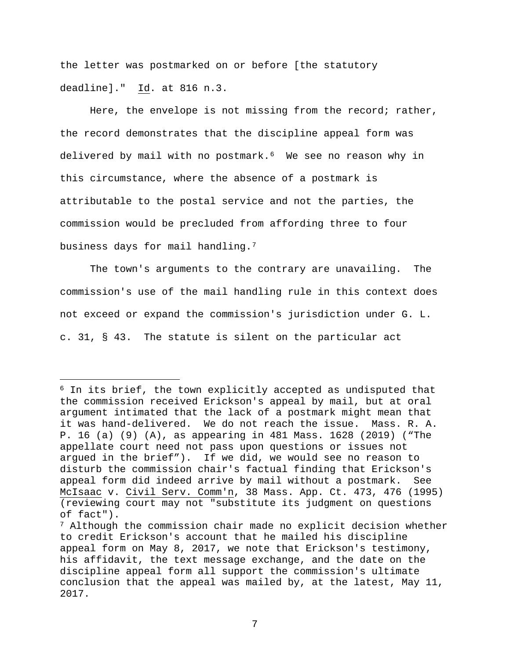the letter was postmarked on or before [the statutory deadline]." Id. at 816 n.3.

Here, the envelope is not missing from the record; rather, the record demonstrates that the discipline appeal form was delivered by mail with no postmark.<sup>6</sup> We see no reason why in this circumstance, where the absence of a postmark is attributable to the postal service and not the parties, the commission would be precluded from affording three to four business days for mail handling.[7](#page-6-1)

The town's arguments to the contrary are unavailing. The commission's use of the mail handling rule in this context does not exceed or expand the commission's jurisdiction under G. L. c. 31, § 43. The statute is silent on the particular act

<span id="page-6-0"></span><sup>6</sup> In its brief, the town explicitly accepted as undisputed that the commission received Erickson's appeal by mail, but at oral argument intimated that the lack of a postmark might mean that it was hand-delivered. We do not reach the issue. Mass. R. A. P. 16 (a) (9) (A), as appearing in 481 Mass. 1628 (2019) ("The appellate court need not pass upon questions or issues not argued in the brief"). If we did, we would see no reason to disturb the commission chair's factual finding that Erickson's appeal form did indeed arrive by mail without a postmark. See McIsaac v. Civil Serv. Comm'n, 38 Mass. App. Ct. 473, 476 (1995) (reviewing court may not "substitute its judgment on questions of fact").

<span id="page-6-1"></span><sup>&</sup>lt;sup>7</sup> Although the commission chair made no explicit decision whether to credit Erickson's account that he mailed his discipline appeal form on May 8, 2017, we note that Erickson's testimony, his affidavit, the text message exchange, and the date on the discipline appeal form all support the commission's ultimate conclusion that the appeal was mailed by, at the latest, May 11, 2017.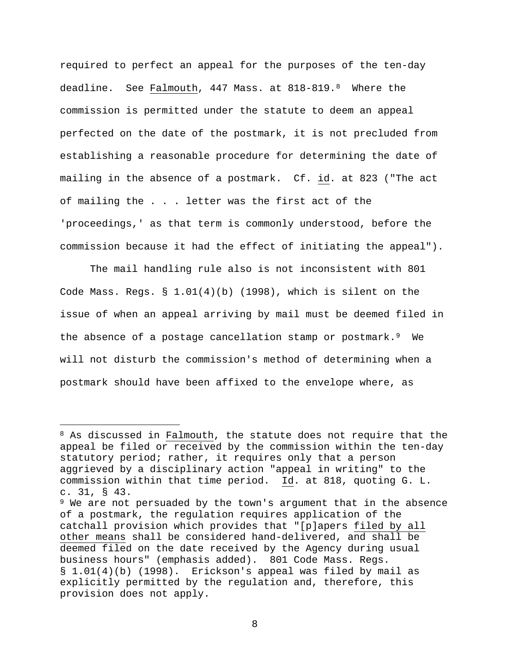required to perfect an appeal for the purposes of the ten-day deadline. See Falmouth, 447 Mass. at 818-819.[8](#page-7-0) Where the commission is permitted under the statute to deem an appeal perfected on the date of the postmark, it is not precluded from establishing a reasonable procedure for determining the date of mailing in the absence of a postmark. Cf. id. at 823 ("The act of mailing the . . . letter was the first act of the 'proceedings,' as that term is commonly understood, before the commission because it had the effect of initiating the appeal").

The mail handling rule also is not inconsistent with 801 Code Mass. Regs. § 1.01(4)(b) (1998), which is silent on the issue of when an appeal arriving by mail must be deemed filed in the absence of a postage cancellation stamp or postmark.<sup>9</sup> We will not disturb the commission's method of determining when a postmark should have been affixed to the envelope where, as

<span id="page-7-0"></span><sup>&</sup>lt;sup>8</sup> As discussed in Falmouth, the statute does not require that the appeal be filed or received by the commission within the ten-day statutory period; rather, it requires only that a person aggrieved by a disciplinary action "appeal in writing" to the commission within that time period. Id. at 818, quoting G. L. c. 31, § 43.

<span id="page-7-1"></span><sup>9</sup> We are not persuaded by the town's argument that in the absence of a postmark, the regulation requires application of the catchall provision which provides that "[p]apers filed by all other means shall be considered hand-delivered, and shall be deemed filed on the date received by the Agency during usual business hours" (emphasis added). 801 Code Mass. Regs. § 1.01(4)(b) (1998). Erickson's appeal was filed by mail as explicitly permitted by the regulation and, therefore, this provision does not apply.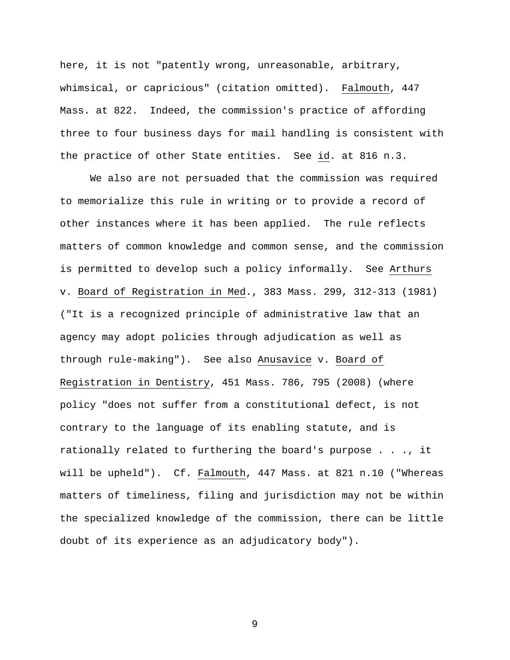here, it is not "patently wrong, unreasonable, arbitrary, whimsical, or capricious" (citation omitted). Falmouth, 447 Mass. at 822. Indeed, the commission's practice of affording three to four business days for mail handling is consistent with the practice of other State entities. See id. at 816 n.3.

We also are not persuaded that the commission was required to memorialize this rule in writing or to provide a record of other instances where it has been applied. The rule reflects matters of common knowledge and common sense, and the commission is permitted to develop such a policy informally. See Arthurs v. Board of Registration in Med., 383 Mass. 299, 312-313 (1981) ("It is a recognized principle of administrative law that an agency may adopt policies through adjudication as well as through rule-making"). See also Anusavice v. Board of Registration in Dentistry, 451 Mass. 786, 795 (2008) (where policy "does not suffer from a constitutional defect, is not contrary to the language of its enabling statute, and is rationally related to furthering the board's purpose . . ., it will be upheld"). Cf. Falmouth, 447 Mass. at 821 n.10 ("Whereas matters of timeliness, filing and jurisdiction may not be within the specialized knowledge of the commission, there can be little doubt of its experience as an adjudicatory body").